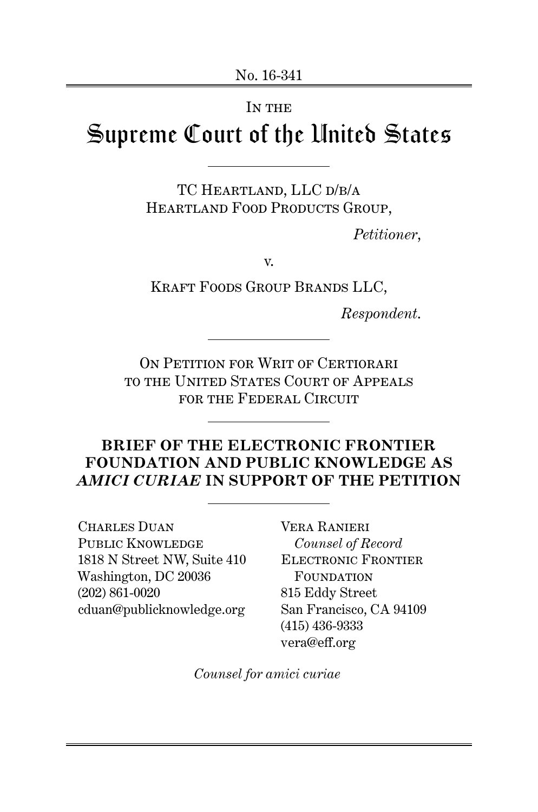#### IN THE

# Supreme Court of the United States

TC HEARTLAND, LLC D/B/A HEARTLAND FOOD PRODUCTS GROUP,

*Petitioner*,

v.

Kraft Foods Group Brands LLC,

*Respondent*.

ON PETITION FOR WRIT OF CERTIORARI to the United States Court of Appeals for the Federal Circuit

## **BRIEF OF THE ELECTRONIC FRONTIER FOUNDATION AND PUBLIC KNOWLEDGE AS** *AMICI CURIAE* **IN SUPPORT OF THE PETITION**

Charles Duan PUBLIC KNOWLEDGE 1818 N Street NW, Suite 410 Washington, DC 20036 (202) 861-0020 cduan@publicknowledge.org

Vera Ranieri *Counsel of Record* Electronic Frontier FOUNDATION 815 Eddy Street San Francisco, CA 94109 (415) 436-9333 vera@eff.org

*Counsel for amici curiae*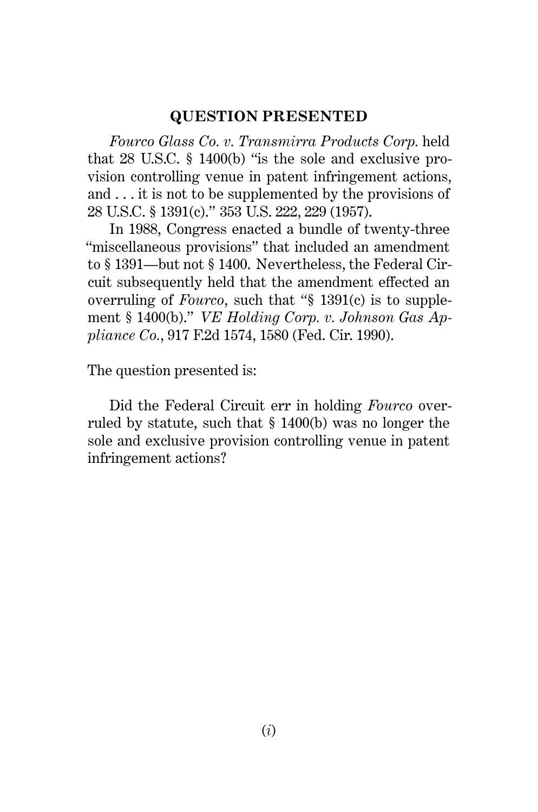#### **QUESTION PRESENTED**

*Fourco Glass Co. v. Transmirra Products Corp.* held that 28 U.S.C. § 1400(b) "is the sole and exclusive provision controlling venue in patent infringement actions, and . . . it is not to be supplemented by the provisions of 28 U.S.C. § 1391(c)." 353 U.S. 222, 229 (1957).

In 1988, Congress enacted a bundle of twenty-three "miscellaneous provisions" that included an amendment to § 1391—but not § 1400. Nevertheless, the Federal Circuit subsequently held that the amendment effected an overruling of *Fourco*, such that "§ 1391(c) is to supplement § 1400(b)." *VE Holding Corp. v. Johnson Gas Appliance Co.*, 917 F.2d 1574, 1580 (Fed. Cir. 1990).

The question presented is:

Did the Federal Circuit err in holding *Fourco* overruled by statute, such that § 1400(b) was no longer the sole and exclusive provision controlling venue in patent infringement actions?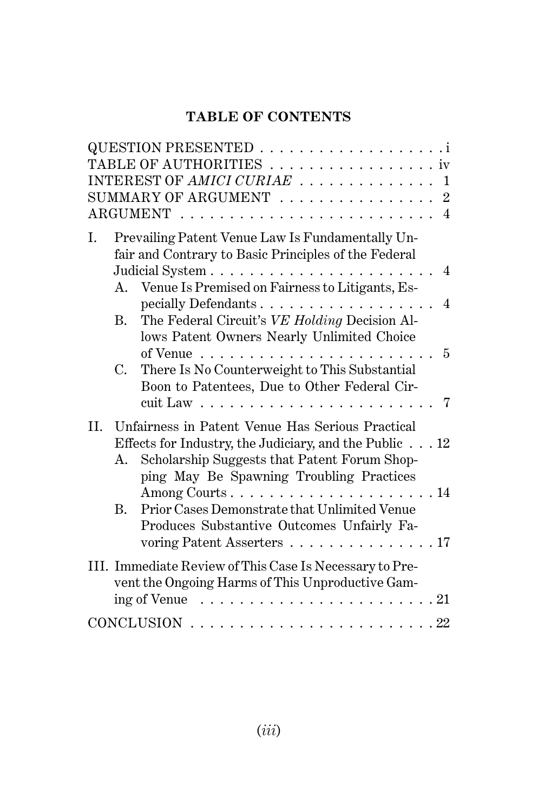# **TABLE OF CONTENTS**

|     |             | TABLE OF AUTHORITIES iv                                                                                  |
|-----|-------------|----------------------------------------------------------------------------------------------------------|
|     |             | INTEREST OF AMICI CURIAE  1                                                                              |
|     |             | SUMMARY OF ARGUMENT $\ldots \ldots \ldots \ldots \ldots 2$                                               |
|     |             |                                                                                                          |
| L.  |             | Prevailing Patent Venue Law Is Fundamentally Un-<br>fair and Contrary to Basic Principles of the Federal |
|     |             | $\overline{4}$                                                                                           |
|     | $A_{\cdot}$ | Venue Is Premised on Fairness to Litigants, Es-<br>$\overline{4}$                                        |
|     | В.          | The Federal Circuit's VE Holding Decision Al-                                                            |
|     |             | lows Patent Owners Nearly Unlimited Choice                                                               |
|     |             | $\overline{5}$<br>of Venue $\ldots \ldots \ldots \ldots \ldots \ldots$                                   |
|     | C.          | There Is No Counterweight to This Substantial                                                            |
|     |             | Boon to Patentees, Due to Other Federal Cir-                                                             |
|     |             | 7                                                                                                        |
| II. |             | Unfairness in Patent Venue Has Serious Practical                                                         |
|     |             | Effects for Industry, the Judiciary, and the Public $\ldots$ 12                                          |
|     | А.          | Scholarship Suggests that Patent Forum Shop-<br>ping May Be Spawning Troubling Practices                 |
|     |             | Among Courts14                                                                                           |
|     | $B_{\cdot}$ | Prior Cases Demonstrate that Unlimited Venue                                                             |
|     |             | Produces Substantive Outcomes Unfairly Fa-                                                               |
|     |             | voring Patent Asserters 17                                                                               |
|     |             | III. Immediate Review of This Case Is Necessary to Pre-                                                  |
|     |             | vent the Ongoing Harms of This Unproductive Gam-                                                         |
|     |             | ing of Venue                                                                                             |
|     |             | <b>CONCLUSION</b>                                                                                        |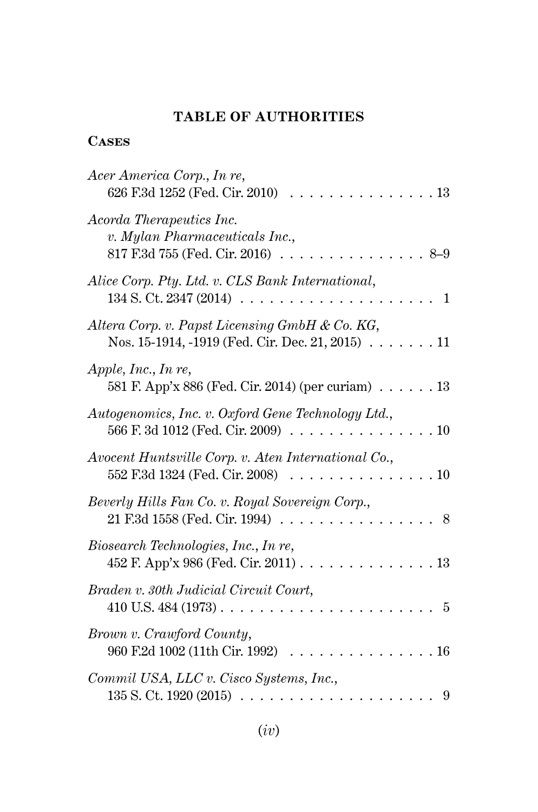## **TABLE OF AUTHORITIES**

## **Cases**

| Acer America Corp., In re,<br>626 F.3d 1252 (Fed. Cir. 2010)<br>13                                                                                                                 |
|------------------------------------------------------------------------------------------------------------------------------------------------------------------------------------|
| Acorda Therapeutics Inc.<br>v. Mylan Pharmaceuticals Inc.,<br>817 F.3d 755 (Fed. Cir. 2016).<br>$8 - 9$                                                                            |
| Alice Corp. Pty. Ltd. v. CLS Bank International,<br>134 S. Ct. 2347 (2014).<br>$\begin{array}{cccccccccccccc} . & . & . & . & . & . & . & . & . & . & . & . & . \end{array}$<br>-1 |
| Altera Corp. v. Papst Licensing GmbH & Co. KG,<br>Nos. 15-1914, -1919 (Fed. Cir. Dec. 21, 2015) $\ldots \ldots 11$                                                                 |
| Apple, Inc., In re,<br>581 F. App'x 886 (Fed. Cir. 2014) (per curiam) $\ldots \ldots 13$                                                                                           |
| Autogenomics, Inc. v. Oxford Gene Technology Ltd.,<br>566 F. 3d 1012 (Fed. Cir. 2009)<br>.10                                                                                       |
| Avocent Huntsville Corp. v. Aten International Co.,<br>552 F.3d 1324 (Fed. Cir. 2008)<br>10                                                                                        |
| Beverly Hills Fan Co. v. Royal Sovereign Corp.,<br>21 F.3d 1558 (Fed. Cir. 1994)<br>8<br>.                                                                                         |
| Biosearch Technologies, Inc., In re,<br>452 F. App'x 986 (Fed. Cir. 2011)<br>.13                                                                                                   |
| Braden v. 30th Judicial Circuit Court,<br>$410$ U.S. $484$ $(1973)$<br>5                                                                                                           |
| Brown v. Crawford County,<br>960 F.2d 1002 (11th Cir. 1992)<br>.16                                                                                                                 |
| Commil USA, LLC v. Cisco Systems, Inc.,<br>135 S. Ct. 1920 (2015)<br>9<br>.                                                                                                        |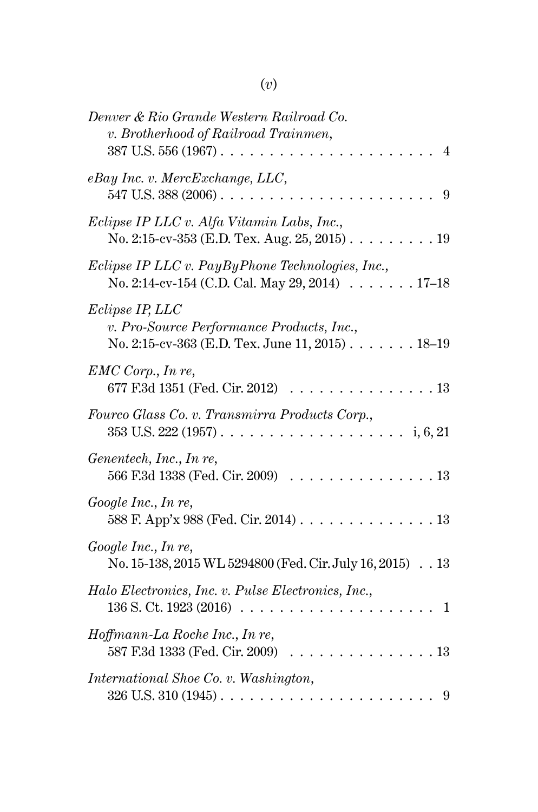| Denver & Rio Grande Western Railroad Co.<br>v. Brotherhood of Railroad Trainmen,<br>387 U.S. 556 (1967).<br>4             |
|---------------------------------------------------------------------------------------------------------------------------|
| eBay Inc. v. MercExchange, LLC,<br>547 U.S. 388 (2006).<br>9                                                              |
| Eclipse IP LLC v. Alfa Vitamin Labs, Inc.,<br>No. 2:15-cv-353 (E.D. Tex. Aug. 25, 2015).<br>.19                           |
| Eclipse IP LLC v. PayByPhone Technologies, Inc.,<br>No. 2:14-cv-154 (C.D. Cal. May 29, 2014) $\ldots \ldots \ldots 17-18$ |
| Eclipse IP, LLC<br>v. Pro-Source Performance Products, Inc.,<br>No. 2:15-cv-363 (E.D. Tex. June 11, 2015) 18–19           |
| $EMC$ Corp., In re,<br>677 F.3d 1351 (Fed. Cir. 2012)<br>.13                                                              |
| Fourco Glass Co. v. Transmirra Products Corp.,<br>353 U.S. 222 (1957).<br>i, 6, 21                                        |
| Genentech, Inc., In re,<br>566 F.3d 1338 (Fed. Cir. 2009)<br>.13                                                          |
| Google Inc., In re,<br>13<br>588 F. App'x 988 (Fed. Cir. 2014).                                                           |
| Google Inc., In re,<br>No. 15-138, 2015 WL 5294800 (Fed. Cir. July 16, 2015) 13                                           |
| Halo Electronics, Inc. v. Pulse Electronics, Inc.,<br>136 S. Ct. 1923 (2016).<br>1                                        |
| Hoffmann-La Roche Inc., In re,<br>587 F.3d 1333 (Fed. Cir. 2009)<br>.13                                                   |
| International Shoe Co. v. Washington,                                                                                     |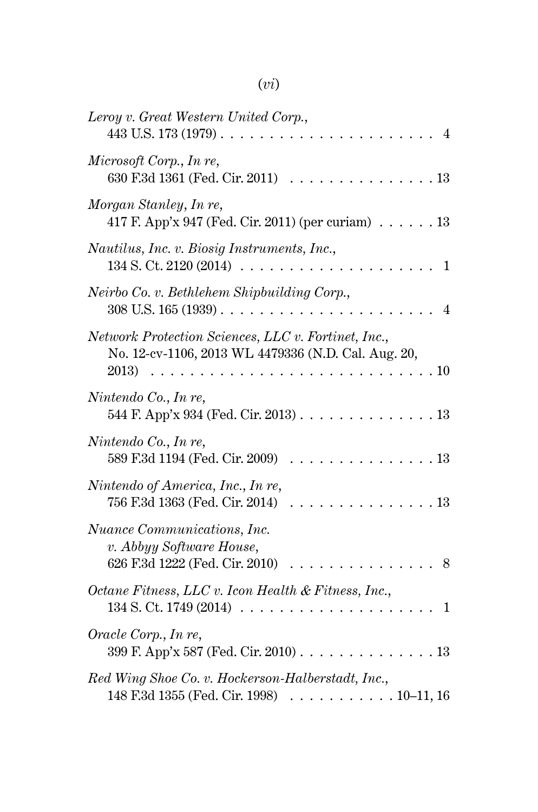# (*vi*)

| Leroy v. Great Western United Corp.,<br>443 U.S. 173 (1979).<br>4                                                         |
|---------------------------------------------------------------------------------------------------------------------------|
| Microsoft Corp., In re,<br>630 F.3d 1361 (Fed. Cir. 2011)<br>. 13                                                         |
| Morgan Stanley, In re,<br>417 F. App'x 947 (Fed. Cir. 2011) (per curiam) $\dots \dots 13$                                 |
| Nautilus, Inc. v. Biosig Instruments, Inc.,<br>134 S. Ct. 2120 (2014)<br>1                                                |
| Neirbo Co. v. Bethlehem Shipbuilding Corp.,<br>$308$ U.S. $165(1939)$<br>$\mathbf{L}$ and $\mathbf{L}$                    |
| Network Protection Sciences, LLC v. Fortinet, Inc.,<br>No. 12-cv-1106, 2013 WL 4479336 (N.D. Cal. Aug. 20,<br>2013)<br>10 |
| Nintendo Co., In re,<br>544 F. App'x 934 (Fed. Cir. 2013)<br>.13                                                          |
| Nintendo Co., In re,<br>589 F.3d 1194 (Fed. Cir. 2009)<br>.13                                                             |
| Nintendo of America, Inc., In re,<br>13<br>756 F.3d 1363 (Fed. Cir. 2014)                                                 |
| Nuance Communications, Inc.<br>v. Abbyy Software House,<br>626 F.3d 1222 (Fed. Cir. 2010)<br>8                            |
| Octane Fitness, LLC v. Icon Health & Fitness, Inc.,<br>134 S. Ct. 1749 (2014)<br>.<br>1                                   |
| Oracle Corp., In re,<br>399 F. App'x 587 (Fed. Cir. 2010)<br>13                                                           |
| Red Wing Shoe Co. v. Hockerson-Halberstadt, Inc.,<br>148 F.3d 1355 (Fed. Cir. 1998)<br>$\ldots$ . $10-11, 16$             |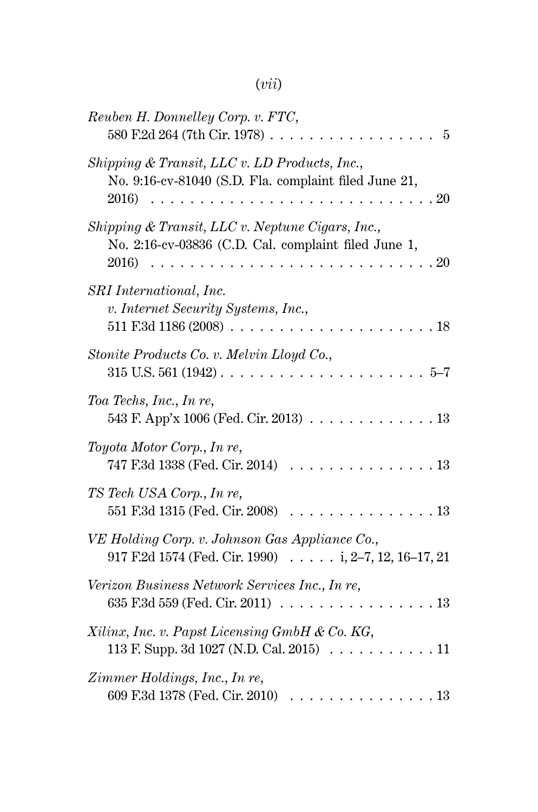# (*vii*)

| Reuben H. Donnelley Corp. v. FTC,<br>580 F.2d 264 (7th Cir. 1978).<br>5                                                     |
|-----------------------------------------------------------------------------------------------------------------------------|
| Shipping & Transit, LLC v. LD Products, Inc.,<br>No. 9:16-cv-81040 (S.D. Fla. complaint filed June 21,<br>2016)<br>20       |
| Shipping & Transit, LLC v. Neptune Cigars, Inc.,<br>No. 2:16-cv-03836 (C.D. Cal. complaint filed June 1,<br>2016)<br>20     |
| SRI International, Inc.<br>v. Internet Security Systems, Inc.,<br>511 F.3d 1186 (2008)<br>18                                |
| Stonite Products Co. v. Melvin Lloyd Co.,<br>$315$ U.S. $561$ $(1942)$<br>$5 - 7$<br>$\overline{a}$                         |
| Toa Techs, Inc., In re,<br>543 F. App'x 1006 (Fed. Cir. 2013).<br>13                                                        |
| Toyota Motor Corp., In re,<br>747 F.3d 1338 (Fed. Cir. 2014)<br>. 13                                                        |
| TS Tech USA Corp., In re,<br>551 F.3d 1315 (Fed. Cir. 2008)<br>13                                                           |
| VE Holding Corp. v. Johnson Gas Appliance Co.,<br>917 F.2d 1574 (Fed. Cir. 1990) $\ldots$ i, 2-7, 12, 16-17, 21             |
| Verizon Business Network Services Inc., In re,<br>635 F.3d 559 (Fed. Cir. 2011)<br>13<br>$\sim$ $\sim$ $\sim$ $\sim$ $\sim$ |
| Xilinx, Inc. v. Papst Licensing GmbH & Co. KG,<br>113 F. Supp. 3d 1027 (N.D. Cal. 2015) $\ldots \ldots$<br>11               |
| Zimmer Holdings, Inc., In re,<br>609 F.3d 1378 (Fed. Cir. 2010)<br>.13                                                      |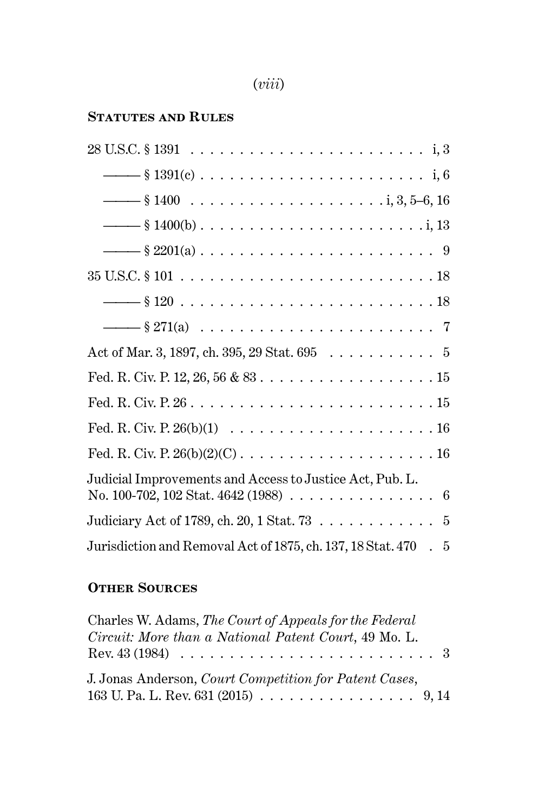| ı. |  |
|----|--|
|    |  |
|    |  |

### **Statutes and Rules**

| Act of Mar. 3, 1897, ch. 395, 29 Stat. 695 $\ldots \ldots \ldots \ldots$ 5                                                          |
|-------------------------------------------------------------------------------------------------------------------------------------|
|                                                                                                                                     |
|                                                                                                                                     |
|                                                                                                                                     |
|                                                                                                                                     |
| Judicial Improvements and Access to Justice Act, Pub. L.<br>No. 100-702, 102 Stat. 4642 (1988) $\ldots \ldots \ldots \ldots \ldots$ |
| Judiciary Act of 1789, ch. 20, 1 Stat. 73 5                                                                                         |
| Jurisdiction and Removal Act of 1875, ch. 137, 18 Stat. 470 . 5                                                                     |

# **Other Sources**

| Charles W. Adams, The Court of Appeals for the Federal                                 |
|----------------------------------------------------------------------------------------|
| Circuit: More than a National Patent Court, 49 Mo. L.                                  |
|                                                                                        |
| J. Jonas Anderson, Court Competition for Patent Cases,                                 |
| 163 U. Pa. L. Rev. 631 (2015) $\ldots \ldots \ldots \ldots \ldots \ldots \ldots$ 9, 14 |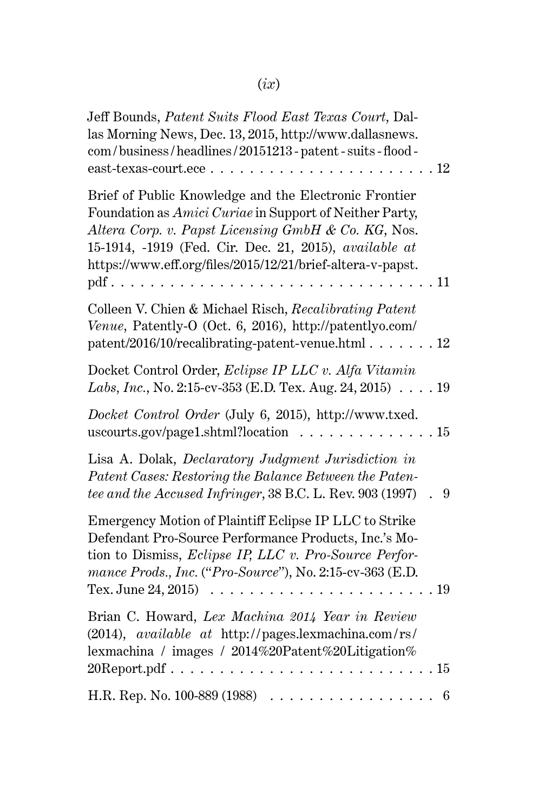# (*ix*)

| Jeff Bounds, Patent Suits Flood East Texas Court, Dal-<br>las Morning News, Dec. 13, 2015, http://www.dallasnews.<br>com/business/headlines/20151213-patent-suits-flood-<br>east-texas-court.ece<br>.12                                                                                               |
|-------------------------------------------------------------------------------------------------------------------------------------------------------------------------------------------------------------------------------------------------------------------------------------------------------|
| Brief of Public Knowledge and the Electronic Frontier<br>Foundation as Amici Curiae in Support of Neither Party,<br>Altera Corp. v. Papst Licensing GmbH & Co. KG, Nos.<br>15-1914, -1919 (Fed. Cir. Dec. 21, 2015), available at<br>https://www.eff.org/files/2015/12/21/brief-altera-v-papst.<br>11 |
| Colleen V. Chien & Michael Risch, Recalibrating Patent<br>Venue, Patently-O (Oct. 6, 2016), http://patentlyo.com/<br>patent/2016/10/recalibrating-patent-venue.html<br>.12                                                                                                                            |
| Docket Control Order, Eclipse IP LLC v. Alfa Vitamin<br>Labs, Inc., No. 2:15-cv-353 (E.D. Tex. Aug. 24, 2015) 19                                                                                                                                                                                      |
| Docket Control Order (July 6, 2015), http://www.txed.<br>uscourts.gov/page1.shtml?location<br>. 15                                                                                                                                                                                                    |
| Lisa A. Dolak, Declaratory Judgment Jurisdiction in<br>Patent Cases: Restoring the Balance Between the Paten-<br>tee and the Accused Infringer, 38 B.C. L. Rev. 903 (1997)<br>9                                                                                                                       |
| Emergency Motion of Plaintiff Eclipse IP LLC to Strike<br>Defendant Pro-Source Performance Products, Inc.'s Mo-<br>tion to Dismiss, Eclipse IP, LLC v. Pro-Source Perfor-<br>mance Prods., Inc. ("Pro-Source"), No. 2:15-cv-363 (E.D.<br>Tex. June 24, 2015)<br>19<br>.                               |
| Brian C. Howard, Lex Machina 2014 Year in Review<br>(2014), available at http://pages.lexmachina.com/rs/<br>lexmachina / images / 2014%20Patent%20Litigation%<br>$20$ Report.pdf<br>.15                                                                                                               |
| H.R. Rep. No. 100-889 (1988)<br>6                                                                                                                                                                                                                                                                     |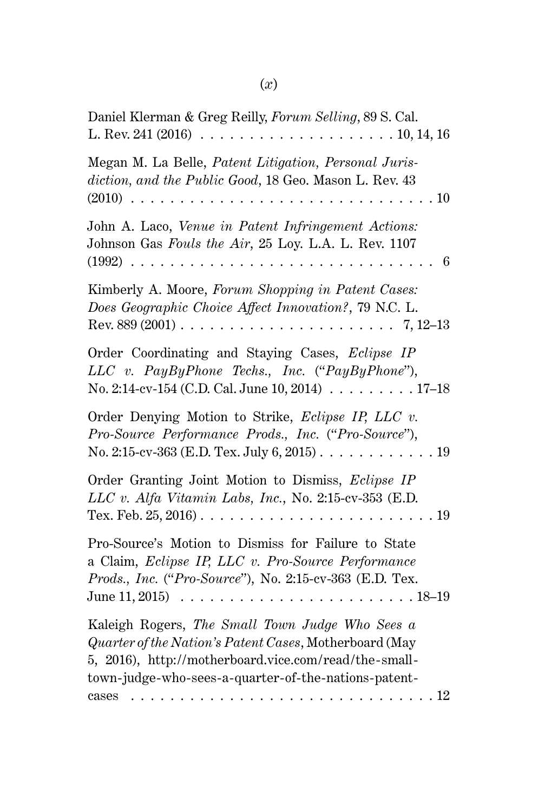| Daniel Klerman & Greg Reilly, Forum Selling, 89 S. Cal.                                                                                                                                                                                                     |
|-------------------------------------------------------------------------------------------------------------------------------------------------------------------------------------------------------------------------------------------------------------|
| Megan M. La Belle, Patent Litigation, Personal Juris-<br>diction, and the Public Good, 18 Geo. Mason L. Rev. 43<br>$(2010)$ .<br>.10<br>.                                                                                                                   |
| John A. Laco, Venue in Patent Infringement Actions:<br>Johnson Gas Fouls the Air, 25 Loy. L.A. L. Rev. 1107<br>$(1992) \ldots$<br>6<br>$\overline{a}$ $\overline{a}$ $\overline{a}$ $\overline{a}$<br>.                                                     |
| Kimberly A. Moore, Forum Shopping in Patent Cases:<br>Does Geographic Choice Affect Innovation?, 79 N.C. L.<br>Rev. 889 (2001) $\ldots \ldots \ldots \ldots \ldots \ldots \ldots \ldots \ldots 7, 12-13$                                                    |
| Order Coordinating and Staying Cases, Eclipse IP<br>LLC v. PayByPhone Techs., Inc. ("PayByPhone"),<br>No. 2:14-cv-154 (C.D. Cal. June 10, 2014) $\ldots \ldots \ldots 17-18$                                                                                |
| Order Denying Motion to Strike, Eclipse IP, LLC v.<br>Pro-Source Performance Prods., Inc. ("Pro-Source"),<br>No. 2:15-cv-363 (E.D. Tex. July 6, 2015). $\dots \dots \dots \dots \dots$                                                                      |
| Order Granting Joint Motion to Dismiss, Eclipse IP<br>LLC v. Alfa Vitamin Labs, Inc., No. 2:15-cv-353 (E.D.<br>.19                                                                                                                                          |
| Pro-Source's Motion to Dismiss for Failure to State<br>a Claim, Eclipse IP, LLC v. Pro-Source Performance<br>Prods., Inc. ("Pro-Source"), No. 2:15-cv-363 (E.D. Tex.<br>June $11, 2015$                                                                     |
| Kaleigh Rogers, The Small Town Judge Who Sees a<br>Quarter of the Nation's Patent Cases, Motherboard (May<br>5, 2016), http://motherboard.vice.com/read/the-small-<br>town-judge-who-sees-a-quarter-of-the-nations-patent-<br>.12<br>cases<br>.<br>$\ddots$ |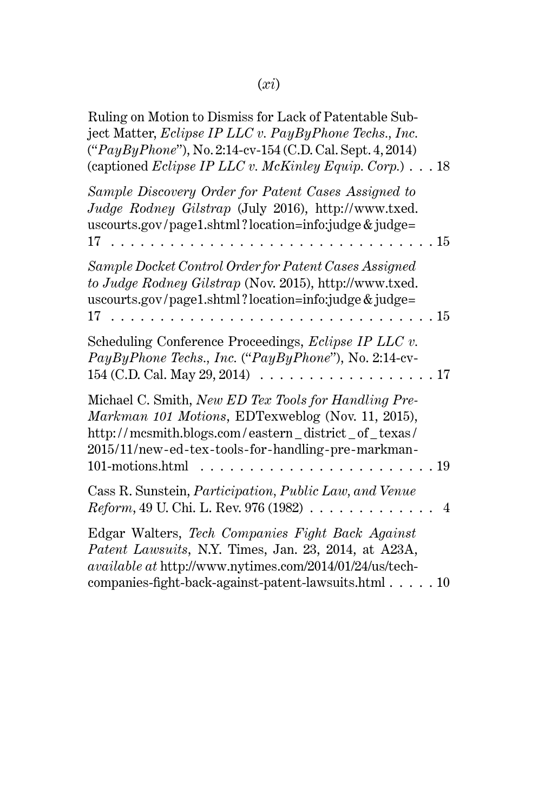| Ruling on Motion to Dismiss for Lack of Patentable Sub-<br>ject Matter, Eclipse IP LLC v. PayByPhone Techs., Inc.<br>("PayByPhone"), No. 2:14-cv-154 (C.D. Cal. Sept. 4, 2014)<br>(captioned Eclipse IP LLC v. McKinley Equip. Corp.) $\ldots$ 18                                                                              |
|--------------------------------------------------------------------------------------------------------------------------------------------------------------------------------------------------------------------------------------------------------------------------------------------------------------------------------|
| Sample Discovery Order for Patent Cases Assigned to<br>Judge Rodney Gilstrap (July 2016), http://www.txed.<br>uscourts.gov/page1.shtml?location=info:judge & judge=<br>. 15<br>17<br>$\sim$ 100 $\sim$ 100 $\sim$<br>$\mathbf{r}$ , $\mathbf{r}$ , $\mathbf{r}$ , $\mathbf{r}$                                                 |
| Sample Docket Control Order for Patent Cases Assigned<br>to Judge Rodney Gilstrap (Nov. 2015), http://www.txed.<br>uscourts.gov/page1.shtml?location=info:judge & judge=<br>17<br>. 15<br>.                                                                                                                                    |
| Scheduling Conference Proceedings, Eclipse IP LLC v.<br>PayByPhone Techs., Inc. ("PayByPhone"), No. 2:14-cv-<br>154 (C.D. Cal. May 29, 2014) $\ldots \ldots \ldots \ldots \ldots \ldots$<br>. 17                                                                                                                               |
| Michael C. Smith, New ED Tex Tools for Handling Pre-<br>Markman 101 Motions, EDTexweblog (Nov. 11, 2015),<br>http://mcsmith.blogs.com/eastern_district_of_texas/<br>2015/11/new-ed-tex-tools-for-handling-pre-markman-<br>101-motions.html<br>. 19<br>$\mathbf{r}$ , $\mathbf{r}$ , $\mathbf{r}$ , $\mathbf{r}$ , $\mathbf{r}$ |
| Cass R. Sunstein, Participation, Public Law, and Venue<br><i>Reform</i> , 49 U. Chi. L. Rev. 976 (1982) $\ldots \ldots \ldots \ldots$<br>4                                                                                                                                                                                     |
| Edgar Walters, Tech Companies Fight Back Against<br>Patent Lawsuits, N.Y. Times, Jan. 23, 2014, at A23A,<br>available at http://www.nytimes.com/2014/01/24/us/tech-<br>companies-fight-back-against-patent-lawsuits.html 10                                                                                                    |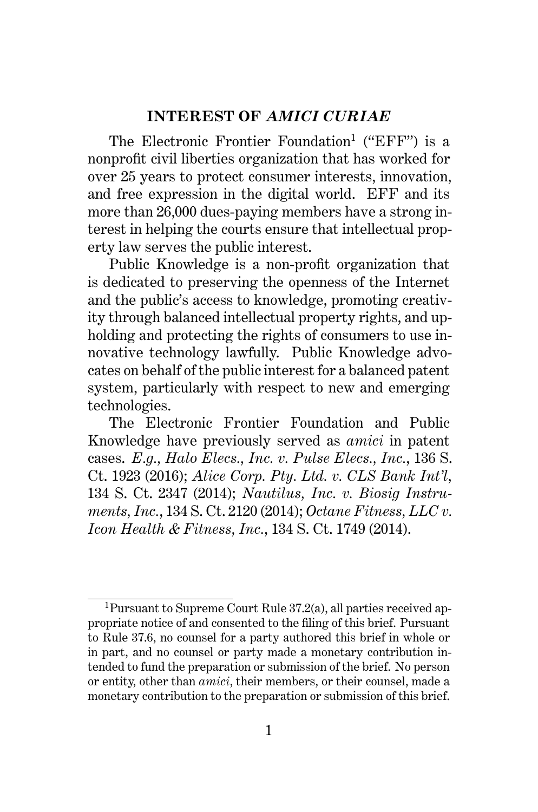#### **INTEREST OF** *AMICI CURIAE*

The Electronic Frontier Foundation<sup>1</sup> ("EFF") is a nonprofit civil liberties organization that has worked for over 25 years to protect consumer interests, innovation, and free expression in the digital world. EFF and its more than 26,000 dues-paying members have a strong interest in helping the courts ensure that intellectual property law serves the public interest.

Public Knowledge is a non-profit organization that is dedicated to preserving the openness of the Internet and the public's access to knowledge, promoting creativity through balanced intellectual property rights, and upholding and protecting the rights of consumers to use innovative technology lawfully. Public Knowledge advocates on behalf of the public interest for a balanced patent system, particularly with respect to new and emerging technologies.

The Electronic Frontier Foundation and Public Knowledge have previously served as *amici* in patent cases. *E.g., Halo Elecs., Inc. v. Pulse Elecs., Inc.*, 136 S. Ct. 1923 (2016); *Alice Corp. Pty. Ltd. v. CLS Bank Int'l*, 134 S. Ct. 2347 (2014); *Nautilus, Inc. v. Biosig Instruments, Inc.*, 134 S. Ct. 2120 (2014); *Octane Fitness, LLC v. Icon Health & Fitness, Inc.*, 134 S. Ct. 1749 (2014).

<sup>1</sup>Pursuant to Supreme Court Rule 37.2(a), all parties received appropriate notice of and consented to the filing of this brief. Pursuant to Rule 37.6, no counsel for a party authored this brief in whole or in part, and no counsel or party made a monetary contribution intended to fund the preparation or submission of the brief. No person or entity, other than *amici*, their members, or their counsel, made a monetary contribution to the preparation or submission of this brief.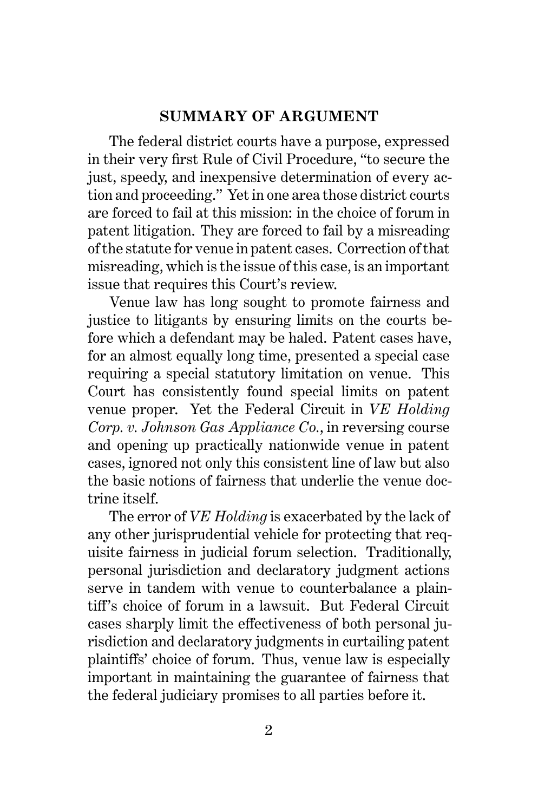#### **SUMMARY OF ARGUMENT**

The federal district courts have a purpose, expressed in their very first Rule of Civil Procedure, "to secure the just, speedy, and inexpensive determination of every action and proceeding." Yet in one area those district courts are forced to fail at this mission: in the choice of forum in patent litigation. They are forced to fail by a misreading of the statute for venue in patent cases. Correction of that misreading, which is the issue of this case, is an important issue that requires this Court's review.

Venue law has long sought to promote fairness and justice to litigants by ensuring limits on the courts before which a defendant may be haled. Patent cases have, for an almost equally long time, presented a special case requiring a special statutory limitation on venue. This Court has consistently found special limits on patent venue proper. Yet the Federal Circuit in *VE Holding Corp. v. Johnson Gas Appliance Co.*, in reversing course and opening up practically nationwide venue in patent cases, ignored not only this consistent line of law but also the basic notions of fairness that underlie the venue doctrine itself.

The error of *VE Holding* is exacerbated by the lack of any other jurisprudential vehicle for protecting that requisite fairness in judicial forum selection. Traditionally, personal jurisdiction and declaratory judgment actions serve in tandem with venue to counterbalance a plaintiff's choice of forum in a lawsuit. But Federal Circuit cases sharply limit the effectiveness of both personal jurisdiction and declaratory judgments in curtailing patent plaintiffs' choice of forum. Thus, venue law is especially important in maintaining the guarantee of fairness that the federal judiciary promises to all parties before it.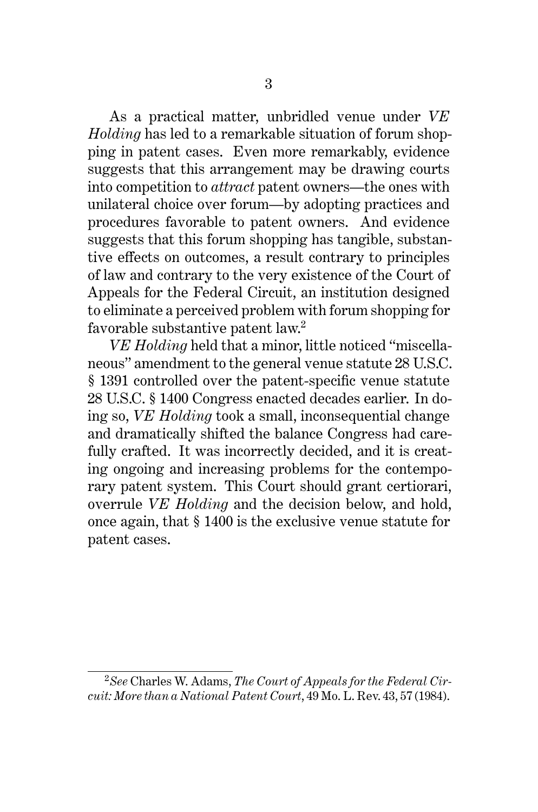As a practical matter, unbridled venue under *VE Holding* has led to a remarkable situation of forum shopping in patent cases. Even more remarkably, evidence suggests that this arrangement may be drawing courts into competition to *attract* patent owners—the ones with unilateral choice over forum—by adopting practices and procedures favorable to patent owners. And evidence suggests that this forum shopping has tangible, substantive effects on outcomes, a result contrary to principles of law and contrary to the very existence of the Court of Appeals for the Federal Circuit, an institution designed to eliminate a perceived problem with forum shopping for favorable substantive patent law.<sup>2</sup>

*VE Holding* held that a minor, little noticed "miscellaneous" amendment to the general venue statute 28 U.S.C. § 1391 controlled over the patent-specific venue statute 28 U.S.C. § 1400 Congress enacted decades earlier. In doing so, *VE Holding* took a small, inconsequential change and dramatically shifted the balance Congress had carefully crafted. It was incorrectly decided, and it is creating ongoing and increasing problems for the contemporary patent system. This Court should grant certiorari, overrule *VE Holding* and the decision below, and hold, once again, that § 1400 is the exclusive venue statute for patent cases.

<sup>2</sup>*See* Charles W. Adams, *The Court of Appeals for the Federal Circuit: More than a National Patent Court*, 49 Mo. L. Rev. 43, 57 (1984).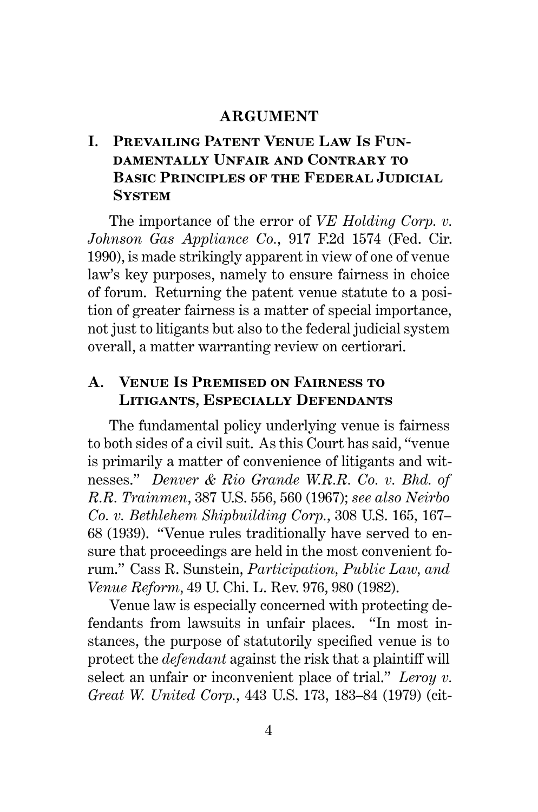#### **ARGUMENT**

# **I. Prevailing Patent Venue Law Is Fundamentally Unfair and Contrary to Basic Principles of the Federal Judicial System**

The importance of the error of *VE Holding Corp. v. Johnson Gas Appliance Co.*, 917 F.2d 1574 (Fed. Cir. 1990), is made strikingly apparent in view of one of venue law's key purposes, namely to ensure fairness in choice of forum. Returning the patent venue statute to a position of greater fairness is a matter of special importance, not just to litigants but also to the federal judicial system overall, a matter warranting review on certiorari.

## **A. Venue Is Premised on Fairness to Litigants, Especially Defendants**

The fundamental policy underlying venue is fairness to both sides of a civil suit. As this Court has said, "venue is primarily a matter of convenience of litigants and witnesses." *Denver & Rio Grande W.R.R. Co. v. Bhd. of R.R. Trainmen*, 387 U.S. 556, 560 (1967); *see also Neirbo Co. v. Bethlehem Shipbuilding Corp.*, 308 U.S. 165, 167– 68 (1939). "Venue rules traditionally have served to ensure that proceedings are held in the most convenient forum." Cass R. Sunstein, *Participation, Public Law, and Venue Reform*, 49 U. Chi. L. Rev. 976, 980 (1982).

Venue law is especially concerned with protecting defendants from lawsuits in unfair places. "In most instances, the purpose of statutorily specified venue is to protect the *defendant* against the risk that a plaintiff will select an unfair or inconvenient place of trial." *Leroy v. Great W. United Corp.*, 443 U.S. 173, 183–84 (1979) (cit-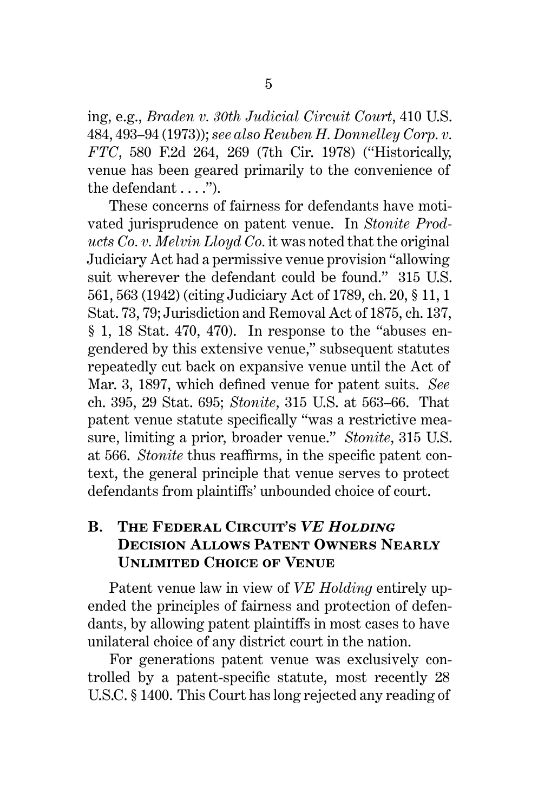ing, e.g., *Braden v. 30th Judicial Circuit Court*, 410 U.S. 484, 493–94 (1973)); *see also Reuben H. Donnelley Corp. v. FTC*, 580 F.2d 264, 269 (7th Cir. 1978) ("Historically, venue has been geared primarily to the convenience of the defendant . . . .").

These concerns of fairness for defendants have motivated jurisprudence on patent venue. In *Stonite Products Co. v. Melvin Lloyd Co.* it was noted that the original Judiciary Act had a permissive venue provision "allowing suit wherever the defendant could be found." 315 U.S. 561, 563 (1942) (citing Judiciary Act of 1789, ch. 20, § 11, 1 Stat. 73, 79; Jurisdiction and Removal Act of 1875, ch. 137, § 1, 18 Stat. 470, 470). In response to the "abuses engendered by this extensive venue," subsequent statutes repeatedly cut back on expansive venue until the Act of Mar. 3, 1897, which defined venue for patent suits. *See* ch. 395, 29 Stat. 695; *Stonite*, 315 U.S. at 563–66. That patent venue statute specifically "was a restrictive measure, limiting a prior, broader venue." *Stonite*, 315 U.S. at 566. *Stonite* thus reaffirms, in the specific patent context, the general principle that venue serves to protect defendants from plaintiffs' unbounded choice of court.

## **B. The Federal Circuit's** *VE Holding* **Decision Allows Patent Owners Nearly Unlimited Choice of Venue**

Patent venue law in view of *VE Holding* entirely upended the principles of fairness and protection of defendants, by allowing patent plaintiffs in most cases to have unilateral choice of any district court in the nation.

For generations patent venue was exclusively controlled by a patent-specific statute, most recently 28 U.S.C. § 1400. This Court has long rejected any reading of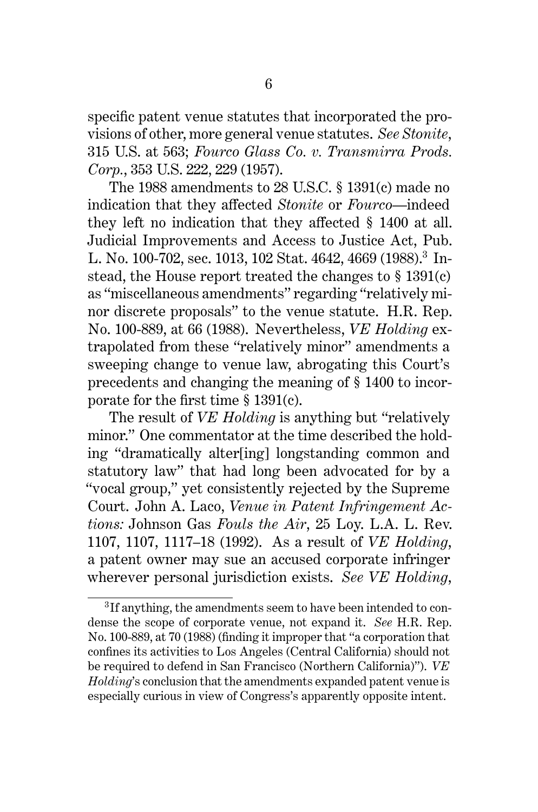specific patent venue statutes that incorporated the provisions of other, more general venue statutes. *See Stonite*, 315 U.S. at 563; *Fourco Glass Co. v. Transmirra Prods. Corp.*, 353 U.S. 222, 229 (1957).

The 1988 amendments to 28 U.S.C. § 1391(c) made no indication that they affected *Stonite* or *Fourco*—indeed they left no indication that they affected § 1400 at all. Judicial Improvements and Access to Justice Act, Pub. L. No. 100-702, sec. 1013, 102 Stat. 4642, 4669 (1988).<sup>3</sup> Instead, the House report treated the changes to § 1391(c) as "miscellaneous amendments" regarding "relatively minor discrete proposals" to the venue statute. H.R. Rep. No. 100-889, at 66 (1988). Nevertheless, *VE Holding* extrapolated from these "relatively minor" amendments a sweeping change to venue law, abrogating this Court's precedents and changing the meaning of § 1400 to incorporate for the first time § 1391(c).

The result of *VE Holding* is anything but "relatively minor." One commentator at the time described the holding "dramatically alter[ing] longstanding common and statutory law" that had long been advocated for by a "vocal group," yet consistently rejected by the Supreme Court. John A. Laco, *Venue in Patent Infringement Actions:* Johnson Gas *Fouls the Air*, 25 Loy. L.A. L. Rev. 1107, 1107, 1117–18 (1992). As a result of *VE Holding*, a patent owner may sue an accused corporate infringer wherever personal jurisdiction exists. *See VE Holding*,

<sup>&</sup>lt;sup>3</sup>If anything, the amendments seem to have been intended to condense the scope of corporate venue, not expand it. *See* H.R. Rep. No. 100-889, at 70 (1988) (finding it improper that "a corporation that confines its activities to Los Angeles (Central California) should not be required to defend in San Francisco (Northern California)"). *VE Holding*'s conclusion that the amendments expanded patent venue is especially curious in view of Congress's apparently opposite intent.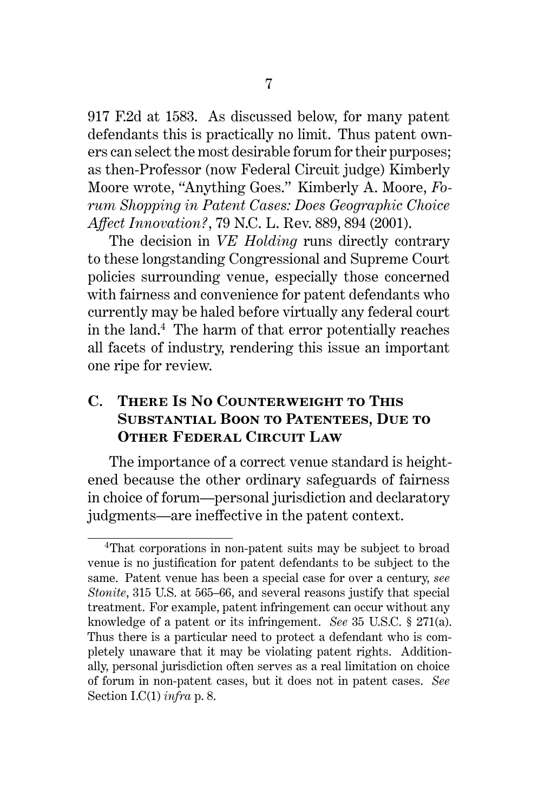917 F.2d at 1583. As discussed below, for many patent defendants this is practically no limit. Thus patent owners can select the most desirable forum for their purposes; as then-Professor (now Federal Circuit judge) Kimberly Moore wrote, "Anything Goes." Kimberly A. Moore, *Forum Shopping in Patent Cases: Does Geographic Choice Affect Innovation?*, 79 N.C. L. Rev. 889, 894 (2001).

The decision in *VE Holding* runs directly contrary to these longstanding Congressional and Supreme Court policies surrounding venue, especially those concerned with fairness and convenience for patent defendants who currently may be haled before virtually any federal court in the land. $4$  The harm of that error potentially reaches all facets of industry, rendering this issue an important one ripe for review.

## **C. There Is No Counterweight to This Substantial Boon to Patentees, Due to Other Federal Circuit Law**

The importance of a correct venue standard is heightened because the other ordinary safeguards of fairness in choice of forum—personal jurisdiction and declaratory judgments—are ineffective in the patent context.

<sup>4</sup>That corporations in non-patent suits may be subject to broad venue is no justification for patent defendants to be subject to the same. Patent venue has been a special case for over a century, *see Stonite*, 315 U.S. at 565–66, and several reasons justify that special treatment. For example, patent infringement can occur without any knowledge of a patent or its infringement. *See* 35 U.S.C. § 271(a). Thus there is a particular need to protect a defendant who is completely unaware that it may be violating patent rights. Additionally, personal jurisdiction often serves as a real limitation on choice of forum in non-patent cases, but it does not in patent cases. *See* Section I.C(1) *infra* p. 8.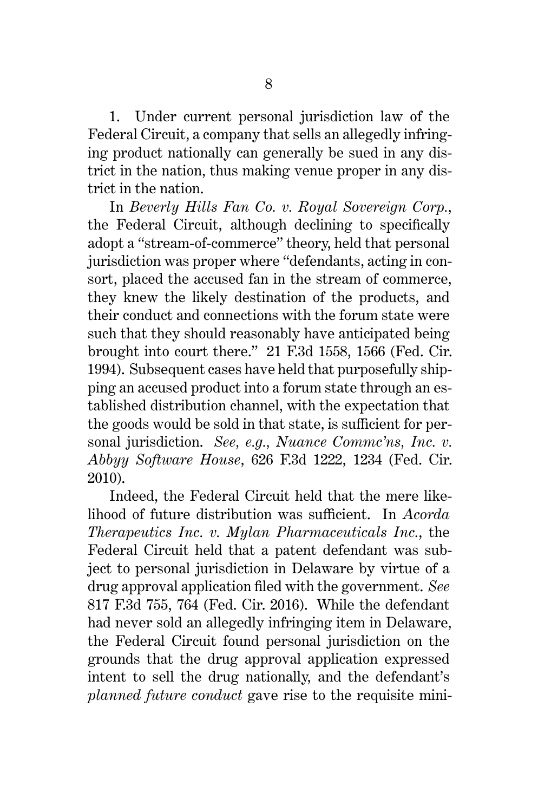1. Under current personal jurisdiction law of the Federal Circuit, a company that sells an allegedly infringing product nationally can generally be sued in any district in the nation, thus making venue proper in any district in the nation.

In *Beverly Hills Fan Co. v. Royal Sovereign Corp.*, the Federal Circuit, although declining to specifically adopt a "stream-of-commerce" theory, held that personal jurisdiction was proper where "defendants, acting in consort, placed the accused fan in the stream of commerce, they knew the likely destination of the products, and their conduct and connections with the forum state were such that they should reasonably have anticipated being brought into court there." 21 F.3d 1558, 1566 (Fed. Cir. 1994). Subsequent cases have held that purposefully shipping an accused product into a forum state through an established distribution channel, with the expectation that the goods would be sold in that state, is sufficient for personal jurisdiction. *See, e.g., Nuance Commc'ns, Inc. v. Abbyy Software House*, 626 F.3d 1222, 1234 (Fed. Cir. 2010).

Indeed, the Federal Circuit held that the mere likelihood of future distribution was sufficient. In *Acorda Therapeutics Inc. v. Mylan Pharmaceuticals Inc.*, the Federal Circuit held that a patent defendant was subject to personal jurisdiction in Delaware by virtue of a drug approval application filed with the government. *See* 817 F.3d 755, 764 (Fed. Cir. 2016). While the defendant had never sold an allegedly infringing item in Delaware, the Federal Circuit found personal jurisdiction on the grounds that the drug approval application expressed intent to sell the drug nationally, and the defendant's *planned future conduct* gave rise to the requisite mini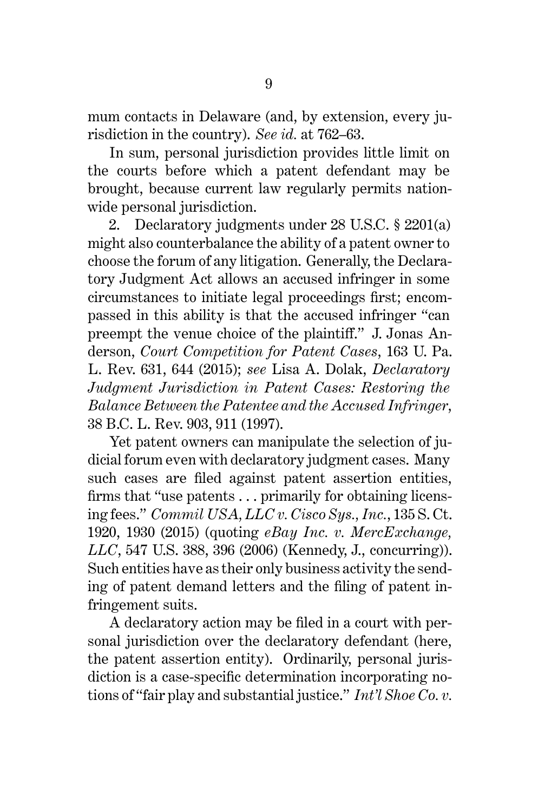mum contacts in Delaware (and, by extension, every jurisdiction in the country). *See id.* at 762–63.

In sum, personal jurisdiction provides little limit on the courts before which a patent defendant may be brought, because current law regularly permits nationwide personal jurisdiction.

2. Declaratory judgments under 28 U.S.C. § 2201(a) might also counterbalance the ability of a patent owner to choose the forum of any litigation. Generally, the Declaratory Judgment Act allows an accused infringer in some circumstances to initiate legal proceedings first; encompassed in this ability is that the accused infringer "can preempt the venue choice of the plaintiff." J. Jonas Anderson, *Court Competition for Patent Cases*, 163 U. Pa. L. Rev. 631, 644 (2015); *see* Lisa A. Dolak, *Declaratory Judgment Jurisdiction in Patent Cases: Restoring the Balance Between the Patentee and the Accused Infringer*, 38 B.C. L. Rev. 903, 911 (1997).

Yet patent owners can manipulate the selection of judicial forum even with declaratory judgment cases. Many such cases are filed against patent assertion entities, firms that "use patents . . . primarily for obtaining licensing fees." *Commil USA, LLC v. Cisco Sys., Inc.*, 135 S. Ct. 1920, 1930 (2015) (quoting *eBay Inc. v. MercExchange, LLC*, 547 U.S. 388, 396 (2006) (Kennedy, J., concurring)). Such entities have as their only business activity the sending of patent demand letters and the filing of patent infringement suits.

A declaratory action may be filed in a court with personal jurisdiction over the declaratory defendant (here, the patent assertion entity). Ordinarily, personal jurisdiction is a case-specific determination incorporating notions of "fair play and substantial justice." *Int'l Shoe Co. v.*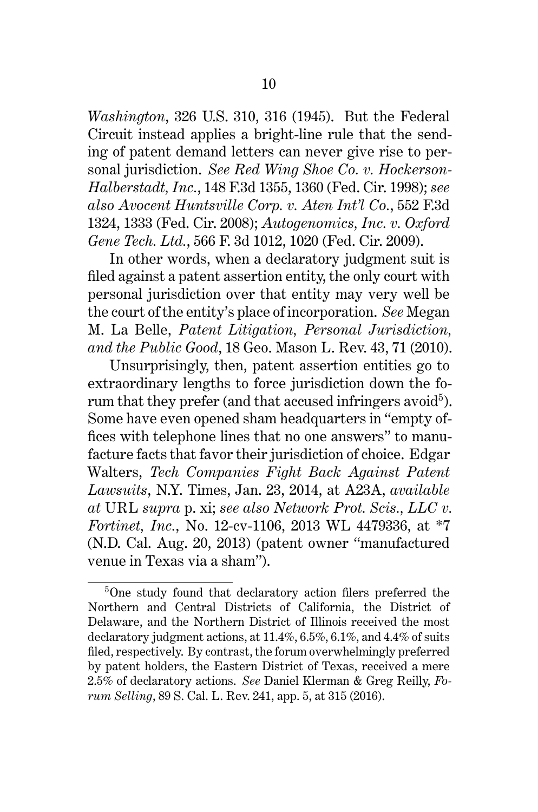*Washington*, 326 U.S. 310, 316 (1945). But the Federal Circuit instead applies a bright-line rule that the sending of patent demand letters can never give rise to personal jurisdiction. *See Red Wing Shoe Co. v. Hockerson-Halberstadt, Inc.*, 148 F.3d 1355, 1360 (Fed. Cir. 1998); *see also Avocent Huntsville Corp. v. Aten Int'l Co.*, 552 F.3d 1324, 1333 (Fed. Cir. 2008); *Autogenomics, Inc. v. Oxford Gene Tech. Ltd.*, 566 F. 3d 1012, 1020 (Fed. Cir. 2009).

In other words, when a declaratory judgment suit is filed against a patent assertion entity, the only court with personal jurisdiction over that entity may very well be the court of the entity's place of incorporation. *See* Megan M. La Belle, *Patent Litigation, Personal Jurisdiction, and the Public Good*, 18 Geo. Mason L. Rev. 43, 71 (2010).

Unsurprisingly, then, patent assertion entities go to extraordinary lengths to force jurisdiction down the forum that they prefer (and that accused infringers avoid<sup>5</sup>). Some have even opened sham headquarters in "empty offices with telephone lines that no one answers" to manufacture facts that favor their jurisdiction of choice. Edgar Walters, *Tech Companies Fight Back Against Patent Lawsuits*, N.Y. Times, Jan. 23, 2014, at A23A, *available at* URL *supra* p. xi; *see also Network Prot. Scis., LLC v. Fortinet, Inc.*, No. 12-cv-1106, 2013 WL 4479336, at \*7 (N.D. Cal. Aug. 20, 2013) (patent owner "manufactured venue in Texas via a sham").

<sup>5</sup>One study found that declaratory action filers preferred the Northern and Central Districts of California, the District of Delaware, and the Northern District of Illinois received the most declaratory judgment actions, at 11.4%, 6.5%, 6.1%, and 4.4% of suits filed, respectively. By contrast, the forum overwhelmingly preferred by patent holders, the Eastern District of Texas, received a mere 2.5% of declaratory actions. *See* Daniel Klerman & Greg Reilly, *Forum Selling*, 89 S. Cal. L. Rev. 241, app. 5, at 315 (2016).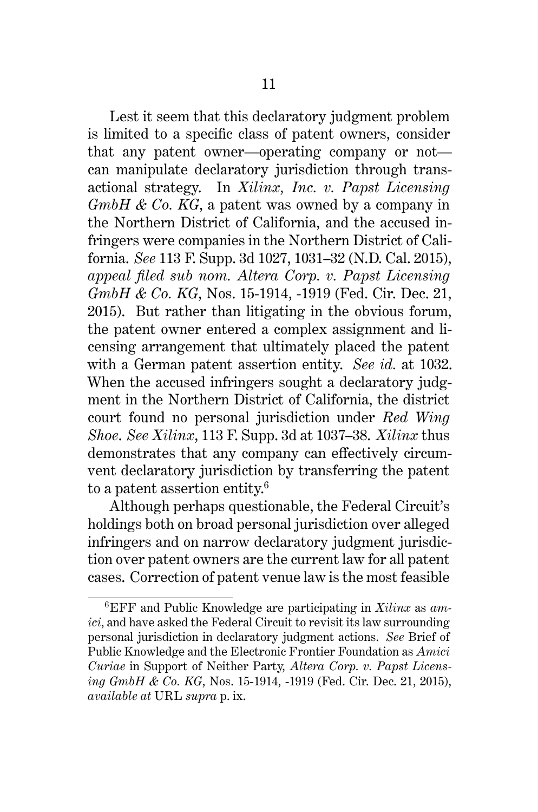Lest it seem that this declaratory judgment problem is limited to a specific class of patent owners, consider that any patent owner—operating company or not can manipulate declaratory jurisdiction through transactional strategy. In *Xilinx, Inc. v. Papst Licensing GmbH & Co. KG*, a patent was owned by a company in the Northern District of California, and the accused infringers were companies in the Northern District of California. *See* 113 F. Supp. 3d 1027, 1031–32 (N.D. Cal. 2015), *appeal filed sub nom. Altera Corp. v. Papst Licensing GmbH & Co. KG*, Nos. 15-1914, -1919 (Fed. Cir. Dec. 21, 2015). But rather than litigating in the obvious forum, the patent owner entered a complex assignment and licensing arrangement that ultimately placed the patent with a German patent assertion entity. *See id.* at 1032. When the accused infringers sought a declaratory judgment in the Northern District of California, the district court found no personal jurisdiction under *Red Wing Shoe*. *See Xilinx*, 113 F. Supp. 3d at 1037–38. *Xilinx* thus demonstrates that any company can effectively circumvent declaratory jurisdiction by transferring the patent to a patent assertion entity.<sup>6</sup>

Although perhaps questionable, the Federal Circuit's holdings both on broad personal jurisdiction over alleged infringers and on narrow declaratory judgment jurisdiction over patent owners are the current law for all patent cases. Correction of patent venue law is the most feasible

<sup>6</sup>EFF and Public Knowledge are participating in *Xilinx* as *amici*, and have asked the Federal Circuit to revisit its law surrounding personal jurisdiction in declaratory judgment actions. *See* Brief of Public Knowledge and the Electronic Frontier Foundation as *Amici Curiae* in Support of Neither Party, *Altera Corp. v. Papst Licensing GmbH & Co. KG*, Nos. 15-1914, -1919 (Fed. Cir. Dec. 21, 2015), *available at* URL *supra* p. ix.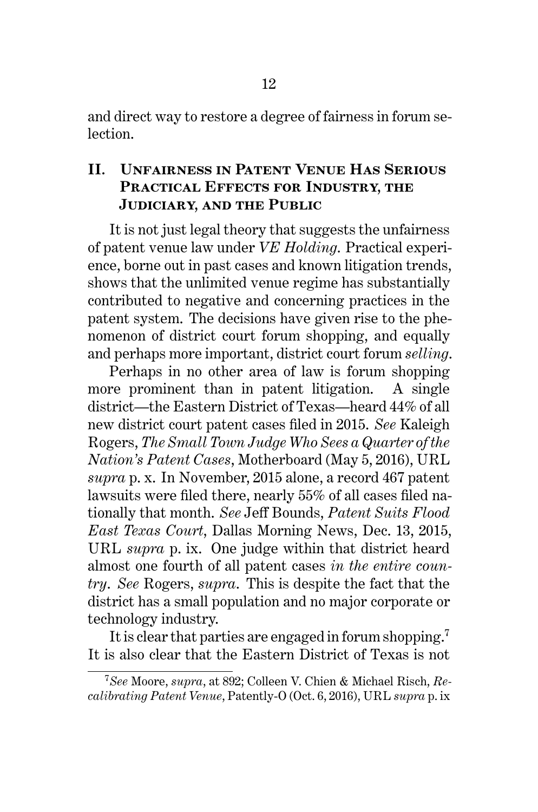and direct way to restore a degree of fairness in forum selection.

### **II. Unfairness in Patent Venue Has Serious Practical Effects for Industry, the Judiciary, and the Public**

It is not just legal theory that suggests the unfairness of patent venue law under *VE Holding*. Practical experience, borne out in past cases and known litigation trends, shows that the unlimited venue regime has substantially contributed to negative and concerning practices in the patent system. The decisions have given rise to the phenomenon of district court forum shopping, and equally and perhaps more important, district court forum *selling*.

Perhaps in no other area of law is forum shopping more prominent than in patent litigation. A single district—the Eastern District of Texas—heard 44% of all new district court patent cases filed in 2015. *See* Kaleigh Rogers, *The Small Town Judge Who Sees a Quarter of the Nation's Patent Cases*, Motherboard (May 5, 2016), URL *supra* p. x. In November, 2015 alone, a record 467 patent lawsuits were filed there, nearly 55% of all cases filed nationally that month. *See* Jeff Bounds, *Patent Suits Flood East Texas Court*, Dallas Morning News, Dec. 13, 2015, URL *supra* p. ix. One judge within that district heard almost one fourth of all patent cases *in the entire country*. *See* Rogers, *supra*. This is despite the fact that the district has a small population and no major corporate or technology industry.

It is clear that parties are engaged in forum shopping.<sup>7</sup> It is also clear that the Eastern District of Texas is not

<sup>7</sup>*See* Moore, *supra*, at 892; Colleen V. Chien & Michael Risch, *Recalibrating Patent Venue*, Patently-O (Oct. 6, 2016), URL *supra* p. ix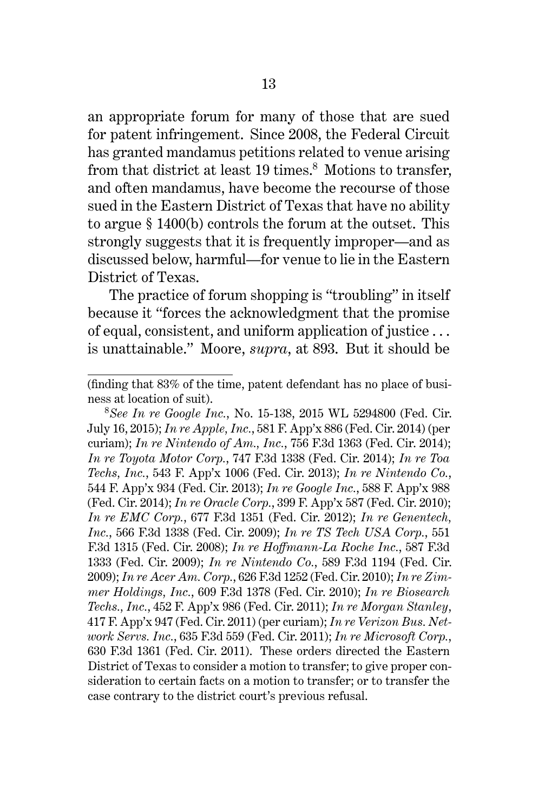an appropriate forum for many of those that are sued for patent infringement. Since 2008, the Federal Circuit has granted mandamus petitions related to venue arising from that district at least  $19 \text{ times}^8$ . Motions to transfer, and often mandamus, have become the recourse of those sued in the Eastern District of Texas that have no ability to argue § 1400(b) controls the forum at the outset. This strongly suggests that it is frequently improper—and as discussed below, harmful—for venue to lie in the Eastern District of Texas.

The practice of forum shopping is "troubling" in itself because it "forces the acknowledgment that the promise of equal, consistent, and uniform application of justice . . . is unattainable." Moore, *supra*, at 893. But it should be

<sup>8</sup>*See In re Google Inc.*, No. 15-138, 2015 WL 5294800 (Fed. Cir. July 16, 2015); *In re Apple, Inc.*, 581 F. App'x 886 (Fed. Cir. 2014) (per curiam); *In re Nintendo of Am., Inc.*, 756 F.3d 1363 (Fed. Cir. 2014); *In re Toyota Motor Corp.*, 747 F.3d 1338 (Fed. Cir. 2014); *In re Toa Techs, Inc.*, 543 F. App'x 1006 (Fed. Cir. 2013); *In re Nintendo Co.*, 544 F. App'x 934 (Fed. Cir. 2013); *In re Google Inc.*, 588 F. App'x 988 (Fed. Cir. 2014); *In re Oracle Corp.*, 399 F. App'x 587 (Fed. Cir. 2010); *In re EMC Corp.*, 677 F.3d 1351 (Fed. Cir. 2012); *In re Genentech, Inc.*, 566 F.3d 1338 (Fed. Cir. 2009); *In re TS Tech USA Corp.*, 551 F.3d 1315 (Fed. Cir. 2008); *In re Hoffmann-La Roche Inc.*, 587 F.3d 1333 (Fed. Cir. 2009); *In re Nintendo Co.*, 589 F.3d 1194 (Fed. Cir. 2009); *In re Acer Am. Corp.*, 626 F.3d 1252 (Fed. Cir. 2010); *In re Zimmer Holdings, Inc.*, 609 F.3d 1378 (Fed. Cir. 2010); *In re Biosearch Techs., Inc.*, 452 F. App'x 986 (Fed. Cir. 2011); *In re Morgan Stanley*, 417 F. App'x 947 (Fed. Cir. 2011) (per curiam); *In re Verizon Bus. Network Servs. Inc.*, 635 F.3d 559 (Fed. Cir. 2011); *In re Microsoft Corp.*, 630 F.3d 1361 (Fed. Cir. 2011). These orders directed the Eastern District of Texas to consider a motion to transfer; to give proper consideration to certain facts on a motion to transfer; or to transfer the case contrary to the district court's previous refusal.

<sup>(</sup>finding that 83% of the time, patent defendant has no place of business at location of suit).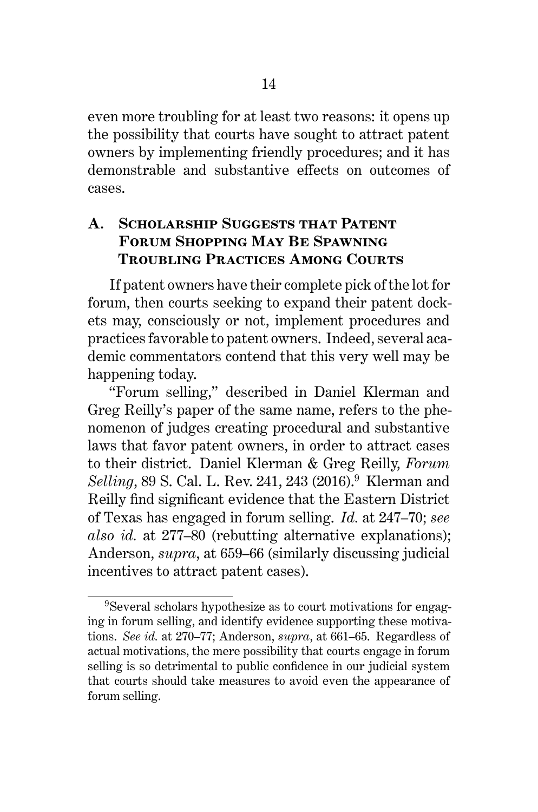even more troubling for at least two reasons: it opens up the possibility that courts have sought to attract patent owners by implementing friendly procedures; and it has demonstrable and substantive effects on outcomes of cases.

## **A. Scholarship Suggests that Patent Forum Shopping May Be Spawning Troubling Practices Among Courts**

If patent owners have their complete pick of the lot for forum, then courts seeking to expand their patent dockets may, consciously or not, implement procedures and practices favorable to patent owners. Indeed, several academic commentators contend that this very well may be happening today.

"Forum selling," described in Daniel Klerman and Greg Reilly's paper of the same name, refers to the phenomenon of judges creating procedural and substantive laws that favor patent owners, in order to attract cases to their district. Daniel Klerman & Greg Reilly, *Forum Selling*, 89 S. Cal. L. Rev. 241, 243 (2016).<sup>9</sup> Klerman and Reilly find significant evidence that the Eastern District of Texas has engaged in forum selling. *Id.* at 247–70; *see also id.* at 277–80 (rebutting alternative explanations); Anderson, *supra*, at 659–66 (similarly discussing judicial incentives to attract patent cases).

<sup>9</sup>Several scholars hypothesize as to court motivations for engaging in forum selling, and identify evidence supporting these motivations. *See id.* at 270–77; Anderson, *supra*, at 661–65. Regardless of actual motivations, the mere possibility that courts engage in forum selling is so detrimental to public confidence in our judicial system that courts should take measures to avoid even the appearance of forum selling.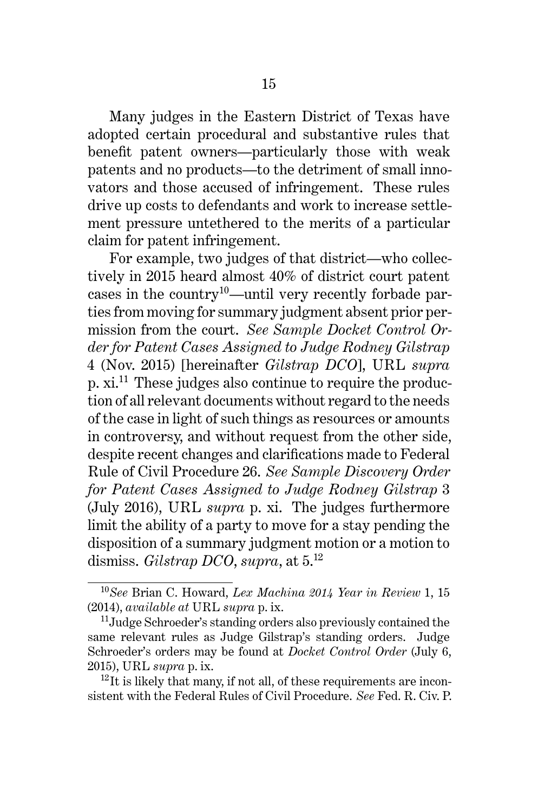Many judges in the Eastern District of Texas have adopted certain procedural and substantive rules that benefit patent owners—particularly those with weak patents and no products—to the detriment of small innovators and those accused of infringement. These rules drive up costs to defendants and work to increase settlement pressure untethered to the merits of a particular claim for patent infringement.

For example, two judges of that district—who collectively in 2015 heard almost 40% of district court patent cases in the country10—until very recently forbade parties from moving for summary judgment absent prior permission from the court. *See Sample Docket Control Order for Patent Cases Assigned to Judge Rodney Gilstrap* 4 (Nov. 2015) [hereinafter *Gilstrap DCO*], URL *supra* p.  $xi^{11}$ . These judges also continue to require the production of all relevant documents without regard to the needs of the case in light of such things as resources or amounts in controversy, and without request from the other side, despite recent changes and clarifications made to Federal Rule of Civil Procedure 26. *See Sample Discovery Order for Patent Cases Assigned to Judge Rodney Gilstrap* 3 (July 2016), URL *supra* p. xi. The judges furthermore limit the ability of a party to move for a stay pending the disposition of a summary judgment motion or a motion to dismiss. *Gilstrap DCO*, *supra*, at 5.<sup>12</sup>

<sup>10</sup>*See* Brian C. Howard, *Lex Machina 2014 Year in Review* 1, 15 (2014), *available at* URL *supra* p. ix.

<sup>&</sup>lt;sup>11</sup>Judge Schroeder's standing orders also previously contained the same relevant rules as Judge Gilstrap's standing orders. Judge Schroeder's orders may be found at *Docket Control Order* (July 6, 2015), URL *supra* p. ix.

 $^{12}$ It is likely that many, if not all, of these requirements are inconsistent with the Federal Rules of Civil Procedure. *See* Fed. R. Civ. P.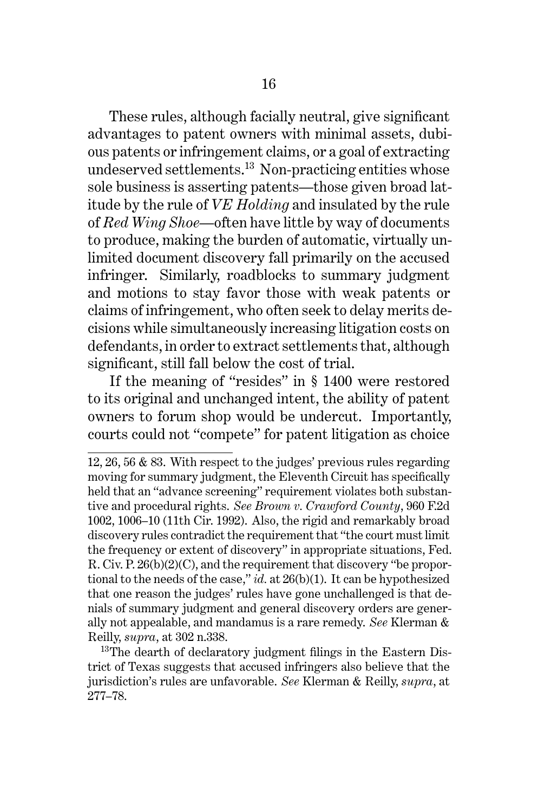These rules, although facially neutral, give significant advantages to patent owners with minimal assets, dubious patents or infringement claims, or a goal of extracting undeserved settlements. $^{13}$  Non-practicing entities whose sole business is asserting patents—those given broad latitude by the rule of *VE Holding* and insulated by the rule of *Red Wing Shoe*—often have little by way of documents to produce, making the burden of automatic, virtually unlimited document discovery fall primarily on the accused infringer. Similarly, roadblocks to summary judgment and motions to stay favor those with weak patents or claims of infringement, who often seek to delay merits decisions while simultaneously increasing litigation costs on defendants, in order to extract settlements that, although significant, still fall below the cost of trial.

If the meaning of "resides" in § 1400 were restored to its original and unchanged intent, the ability of patent owners to forum shop would be undercut. Importantly, courts could not "compete" for patent litigation as choice

<sup>12, 26, 56 &</sup>amp; 83. With respect to the judges' previous rules regarding moving for summary judgment, the Eleventh Circuit has specifically held that an "advance screening" requirement violates both substantive and procedural rights. *See Brown v. Crawford County*, 960 F.2d 1002, 1006–10 (11th Cir. 1992). Also, the rigid and remarkably broad discovery rules contradict the requirement that "the court must limit the frequency or extent of discovery" in appropriate situations, Fed. R. Civ. P. 26(b)(2)(C), and the requirement that discovery "be proportional to the needs of the case," *id.* at 26(b)(1). It can be hypothesized that one reason the judges' rules have gone unchallenged is that denials of summary judgment and general discovery orders are generally not appealable, and mandamus is a rare remedy. *See* Klerman & Reilly, *supra*, at 302 n.338.

<sup>&</sup>lt;sup>13</sup>The dearth of declaratory judgment filings in the Eastern District of Texas suggests that accused infringers also believe that the jurisdiction's rules are unfavorable. *See* Klerman & Reilly, *supra*, at 277–78.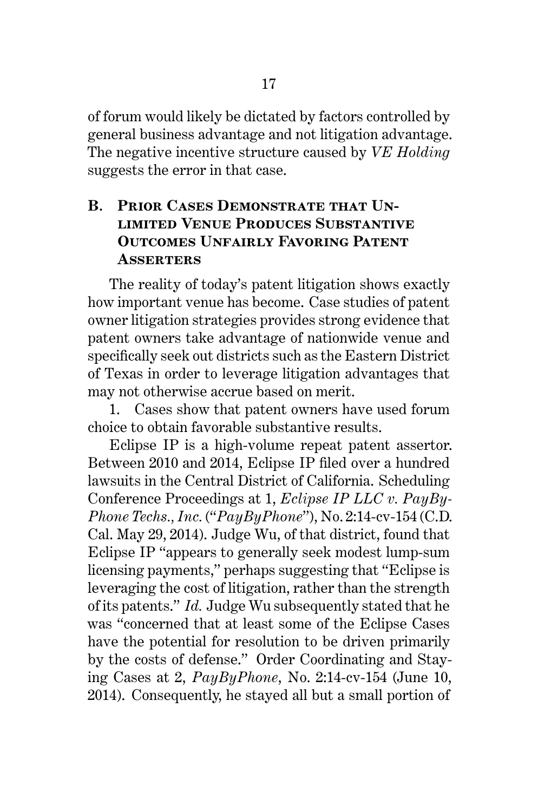of forum would likely be dictated by factors controlled by general business advantage and not litigation advantage. The negative incentive structure caused by *VE Holding* suggests the error in that case.

# **B. PRIOR CASES DEMONSTRATE THAT UNlimited Venue Produces Substantive Outcomes Unfairly Favoring Patent Asserters**

The reality of today's patent litigation shows exactly how important venue has become. Case studies of patent owner litigation strategies provides strong evidence that patent owners take advantage of nationwide venue and specifically seek out districts such as the Eastern District of Texas in order to leverage litigation advantages that may not otherwise accrue based on merit.

1. Cases show that patent owners have used forum choice to obtain favorable substantive results.

Eclipse IP is a high-volume repeat patent assertor. Between 2010 and 2014, Eclipse IP filed over a hundred lawsuits in the Central District of California. Scheduling Conference Proceedings at 1, *Eclipse IP LLC v. PayBy-Phone Techs., Inc.* ("*PayByPhone*"), No. 2:14-cv-154 (C.D. Cal. May 29, 2014). Judge Wu, of that district, found that Eclipse IP "appears to generally seek modest lump-sum licensing payments," perhaps suggesting that "Eclipse is leveraging the cost of litigation, rather than the strength of its patents." *Id.* Judge Wu subsequently stated that he was "concerned that at least some of the Eclipse Cases have the potential for resolution to be driven primarily by the costs of defense." Order Coordinating and Staying Cases at 2, *PayByPhone*, No. 2:14-cv-154 (June 10, 2014). Consequently, he stayed all but a small portion of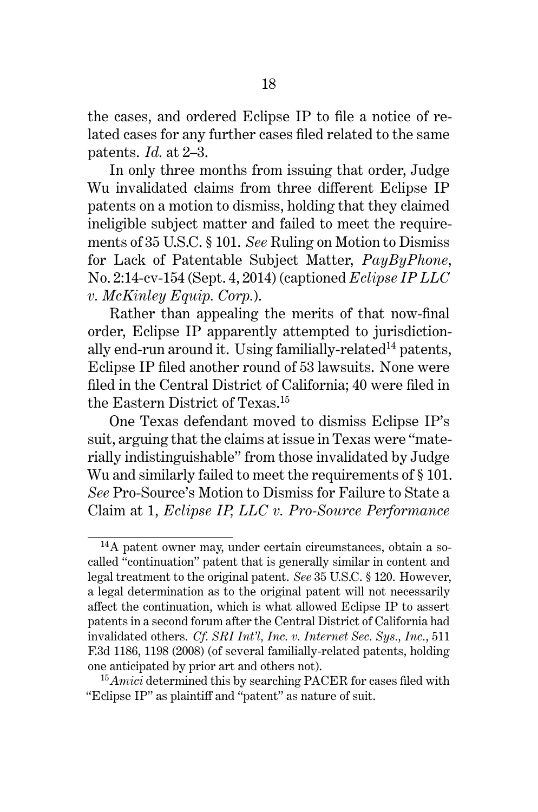the cases, and ordered Eclipse IP to file a notice of related cases for any further cases filed related to the same patents. *Id.* at 2–3.

In only three months from issuing that order, Judge Wu invalidated claims from three different Eclipse IP patents on a motion to dismiss, holding that they claimed ineligible subject matter and failed to meet the requirements of 35 U.S.C. § 101. *See* Ruling on Motion to Dismiss for Lack of Patentable Subject Matter, *PayByPhone*, No. 2:14-cv-154 (Sept. 4, 2014) (captioned *Eclipse IP LLC v. McKinley Equip. Corp.*).

Rather than appealing the merits of that now-final order, Eclipse IP apparently attempted to jurisdictionally end-run around it. Using familially-related<sup>14</sup> patents, Eclipse IP filed another round of 53 lawsuits. None were filed in the Central District of California; 40 were filed in the Eastern District of Texas.<sup>15</sup>

One Texas defendant moved to dismiss Eclipse IP's suit, arguing that the claims at issue in Texas were "materially indistinguishable" from those invalidated by Judge Wu and similarly failed to meet the requirements of § 101. *See* Pro-Source's Motion to Dismiss for Failure to State a Claim at 1, *Eclipse IP, LLC v. Pro-Source Performance*

<sup>&</sup>lt;sup>14</sup>A patent owner may, under certain circumstances, obtain a socalled "continuation" patent that is generally similar in content and legal treatment to the original patent. *See* 35 U.S.C. § 120. However, a legal determination as to the original patent will not necessarily affect the continuation, which is what allowed Eclipse IP to assert patents in a second forum after the Central District of California had invalidated others. *Cf. SRI Int'l, Inc. v. Internet Sec. Sys., Inc.*, 511 F.3d 1186, 1198 (2008) (of several familially-related patents, holding one anticipated by prior art and others not).

<sup>15</sup>*Amici* determined this by searching PACER for cases filed with "Eclipse IP" as plaintiff and "patent" as nature of suit.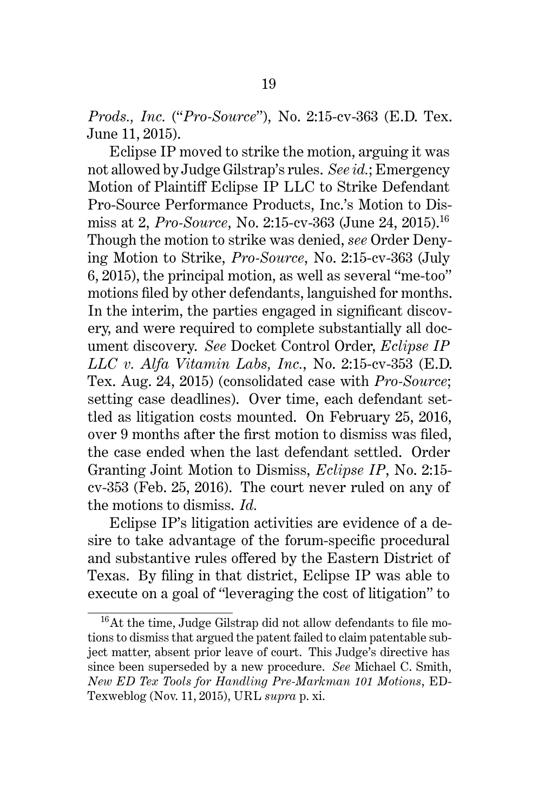*Prods., Inc.* ("*Pro-Source*"), No. 2:15-cv-363 (E.D. Tex. June 11, 2015).

Eclipse IP moved to strike the motion, arguing it was not allowed by Judge Gilstrap's rules. *See id.*; Emergency Motion of Plaintiff Eclipse IP LLC to Strike Defendant Pro-Source Performance Products, Inc.'s Motion to Dismiss at 2, *Pro-Source*, No. 2:15-cv-363 (June 24, 2015).<sup>16</sup> Though the motion to strike was denied, *see* Order Denying Motion to Strike, *Pro-Source*, No. 2:15-cv-363 (July 6, 2015), the principal motion, as well as several "me-too" motions filed by other defendants, languished for months. In the interim, the parties engaged in significant discovery, and were required to complete substantially all document discovery. *See* Docket Control Order, *Eclipse IP LLC v. Alfa Vitamin Labs, Inc.*, No. 2:15-cv-353 (E.D. Tex. Aug. 24, 2015) (consolidated case with *Pro-Source*; setting case deadlines). Over time, each defendant settled as litigation costs mounted. On February 25, 2016, over 9 months after the first motion to dismiss was filed, the case ended when the last defendant settled. Order Granting Joint Motion to Dismiss, *Eclipse IP*, No. 2:15 cv-353 (Feb. 25, 2016). The court never ruled on any of the motions to dismiss. *Id.*

Eclipse IP's litigation activities are evidence of a desire to take advantage of the forum-specific procedural and substantive rules offered by the Eastern District of Texas. By filing in that district, Eclipse IP was able to execute on a goal of "leveraging the cost of litigation" to

<sup>16</sup>At the time, Judge Gilstrap did not allow defendants to file motions to dismiss that argued the patent failed to claim patentable subject matter, absent prior leave of court. This Judge's directive has since been superseded by a new procedure. *See* Michael C. Smith, *New ED Tex Tools for Handling Pre-Markman 101 Motions*, ED-Texweblog (Nov. 11, 2015), URL *supra* p. xi.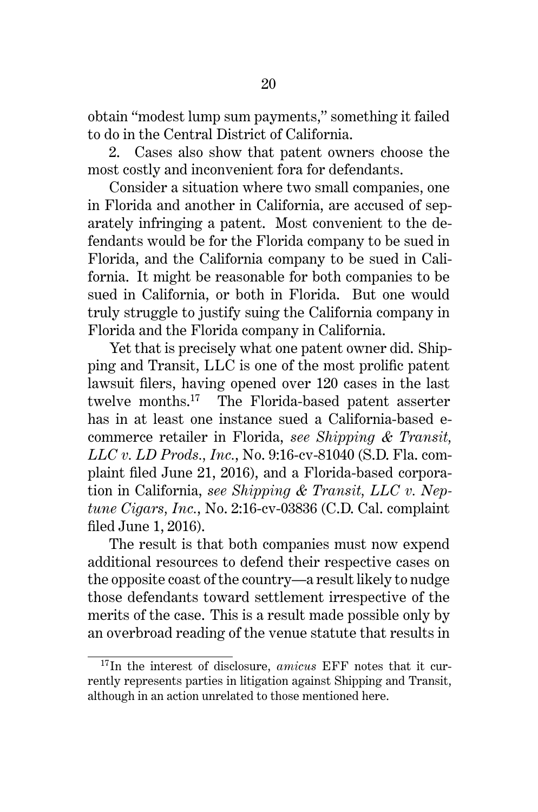obtain "modest lump sum payments," something it failed to do in the Central District of California.

2. Cases also show that patent owners choose the most costly and inconvenient fora for defendants.

Consider a situation where two small companies, one in Florida and another in California, are accused of separately infringing a patent. Most convenient to the defendants would be for the Florida company to be sued in Florida, and the California company to be sued in California. It might be reasonable for both companies to be sued in California, or both in Florida. But one would truly struggle to justify suing the California company in Florida and the Florida company in California.

Yet that is precisely what one patent owner did. Shipping and Transit, LLC is one of the most prolific patent lawsuit filers, having opened over 120 cases in the last twelve months.<sup>17</sup> The Florida-based patent asserter has in at least one instance sued a California-based ecommerce retailer in Florida, *see Shipping & Transit, LLC v. LD Prods., Inc.*, No. 9:16-cv-81040 (S.D. Fla. complaint filed June 21, 2016), and a Florida-based corporation in California, *see Shipping & Transit, LLC v. Neptune Cigars, Inc.*, No. 2:16-cv-03836 (C.D. Cal. complaint filed June 1, 2016).

The result is that both companies must now expend additional resources to defend their respective cases on the opposite coast of the country—a result likely to nudge those defendants toward settlement irrespective of the merits of the case. This is a result made possible only by an overbroad reading of the venue statute that results in

<sup>&</sup>lt;sup>17</sup>In the interest of disclosure, *amicus* EFF notes that it currently represents parties in litigation against Shipping and Transit, although in an action unrelated to those mentioned here.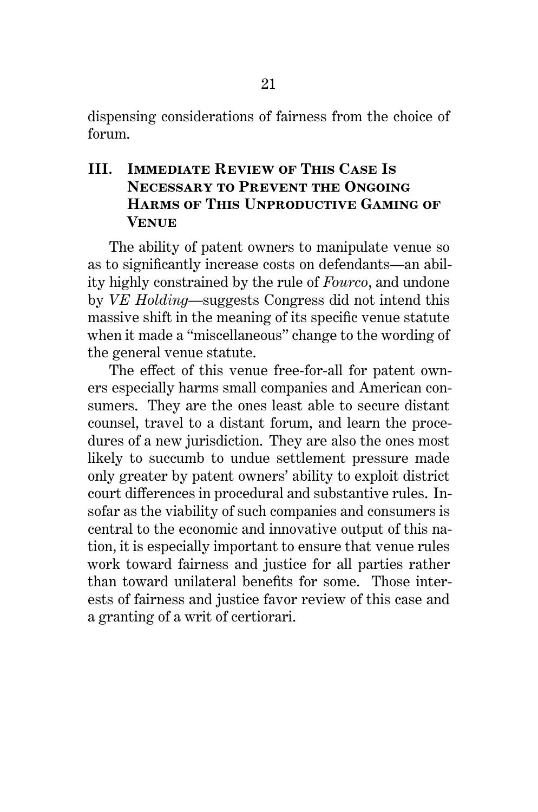dispensing considerations of fairness from the choice of forum.

## **III. Immediate Review of This Case Is Necessary to Prevent the Ongoing Harms of This Unproductive Gaming of Venue**

The ability of patent owners to manipulate venue so as to significantly increase costs on defendants—an ability highly constrained by the rule of *Fourco*, and undone by *VE Holding*—suggests Congress did not intend this massive shift in the meaning of its specific venue statute when it made a "miscellaneous" change to the wording of the general venue statute.

The effect of this venue free-for-all for patent owners especially harms small companies and American consumers. They are the ones least able to secure distant counsel, travel to a distant forum, and learn the procedures of a new jurisdiction. They are also the ones most likely to succumb to undue settlement pressure made only greater by patent owners' ability to exploit district court differences in procedural and substantive rules. Insofar as the viability of such companies and consumers is central to the economic and innovative output of this nation, it is especially important to ensure that venue rules work toward fairness and justice for all parties rather than toward unilateral benefits for some. Those interests of fairness and justice favor review of this case and a granting of a writ of certiorari.